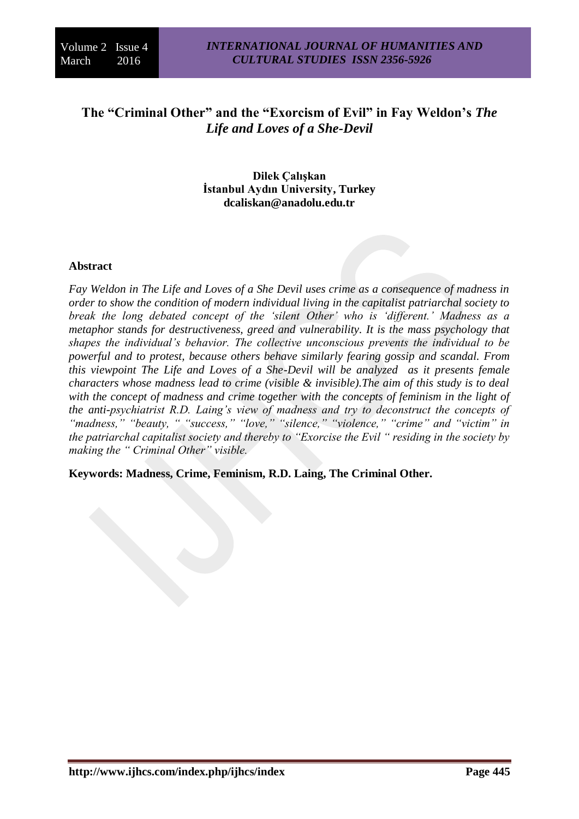# **The "Criminal Other" and the "Exorcism of Evil" in Fay Weldon's** *The Life and Loves of a She-Devil*

**Dilek Çalışkan İstanbul Aydın University, Turkey dcaliskan@anadolu.edu.tr**

#### **Abstract**

*Fay Weldon in The Life and Loves of a She Devil uses crime as a consequence of madness in order to show the condition of modern individual living in the capitalist patriarchal society to break the long debated concept of the 'silent Other' who is 'different.' Madness as a metaphor stands for destructiveness, greed and vulnerability. It is the mass psychology that shapes the individual's behavior. The collective unconscious prevents the individual to be powerful and to protest, because others behave similarly fearing gossip and scandal. From this viewpoint The Life and Loves of a She-Devil will be analyzed as it presents female characters whose madness lead to crime (visible & invisible).The aim of this study is to deal with the concept of madness and crime together with the concepts of feminism in the light of the anti-psychiatrist R.D. Laing's view of madness and try to deconstruct the concepts of "madness," "beauty, " "success," "love," "silence," "violence," "crime" and "victim" in the patriarchal capitalist society and thereby to "Exorcise the Evil " residing in the society by making the " Criminal Other" visible.* 

**Keywords: Madness, Crime, Feminism, R.D. Laing, The Criminal Other.**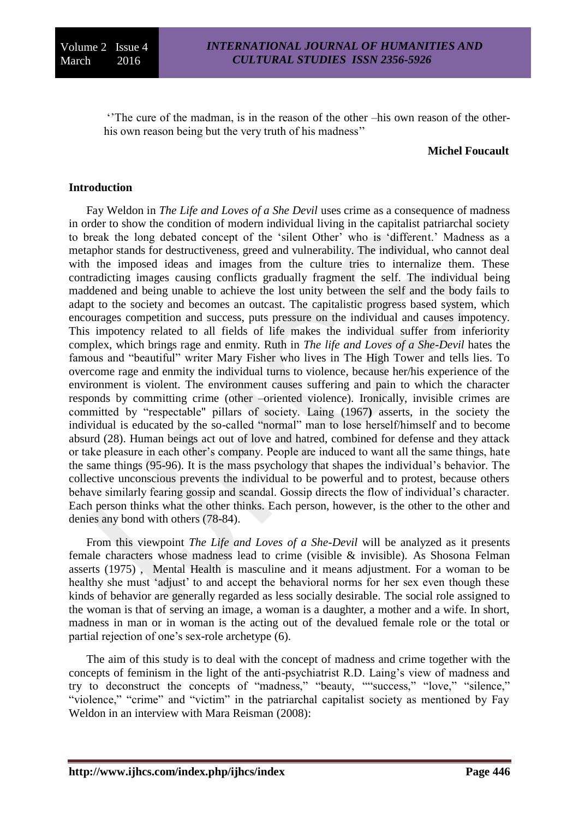''The cure of the madman, is in the reason of the other –his own reason of the otherhis own reason being but the very truth of his madness''

#### **Michel Foucault**

#### **Introduction**

Fay Weldon in *The Life and Loves of a She Devil* uses crime as a consequence of madness in order to show the condition of modern individual living in the capitalist patriarchal society to break the long debated concept of the 'silent Other' who is 'different.' Madness as a metaphor stands for destructiveness, greed and vulnerability. The individual, who cannot deal with the imposed ideas and images from the culture tries to internalize them. These contradicting images causing conflicts gradually fragment the self. The individual being maddened and being unable to achieve the lost unity between the self and the body fails to adapt to the society and becomes an outcast. The capitalistic progress based system, which encourages competition and success, puts pressure on the individual and causes impotency. This impotency related to all fields of life makes the individual suffer from inferiority complex, which brings rage and enmity. Ruth in *The life and Loves of a She-Devil* hates the famous and "beautiful" writer Mary Fisher who lives in The High Tower and tells lies. To overcome rage and enmity the individual turns to violence, because her/his experience of the environment is violent. The environment causes suffering and pain to which the character responds by committing crime (other –oriented violence). Ironically, invisible crimes are committed by "respectable" pillars of society. Laing (1967**)** asserts, in the society the individual is educated by the so-called "normal" man to lose herself/himself and to become absurd (28). Human beings act out of love and hatred, combined for defense and they attack or take pleasure in each other's company. People are induced to want all the same things, hate the same things (95-96). It is the mass psychology that shapes the individual's behavior. The collective unconscious prevents the individual to be powerful and to protest, because others behave similarly fearing gossip and scandal. Gossip directs the flow of individual's character. Each person thinks what the other thinks. Each person, however, is the other to the other and denies any bond with others (78-84).

From this viewpoint *The Life and Loves of a She-Devil* will be analyzed as it presents female characters whose madness lead to crime (visible & invisible). As Shosona Felman asserts (1975) , Mental Health is masculine and it means adjustment. For a woman to be healthy she must 'adjust' to and accept the behavioral norms for her sex even though these kinds of behavior are generally regarded as less socially desirable. The social role assigned to the woman is that of serving an image, a woman is a daughter, a mother and a wife. In short, madness in man or in woman is the acting out of the devalued female role or the total or partial rejection of one's sex-role archetype (6).

The aim of this study is to deal with the concept of madness and crime together with the concepts of feminism in the light of the anti-psychiatrist R.D. Laing's view of madness and try to deconstruct the concepts of "madness," "beauty, ""success," "love," "silence," "violence," "crime" and "victim" in the patriarchal capitalist society as mentioned by Fay Weldon in an interview with Mara Reisman (2008):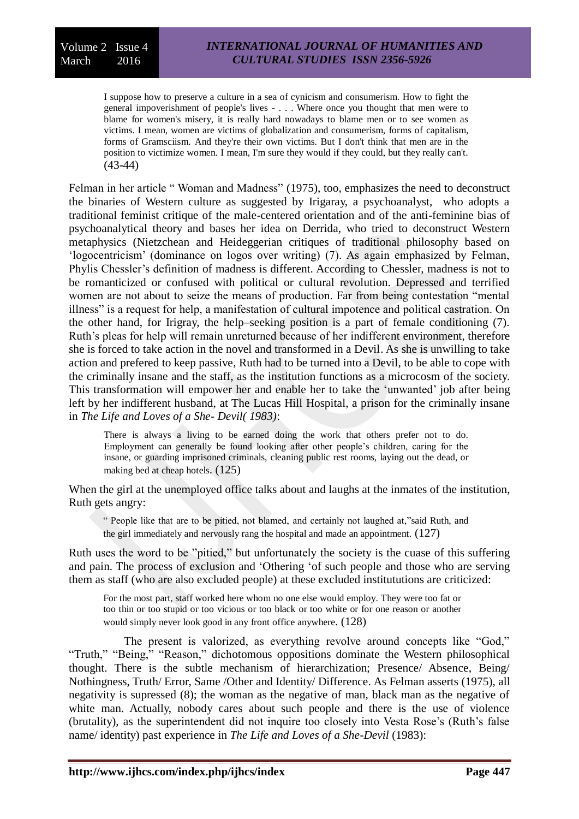I suppose how to preserve a culture in a sea of cynicism and consumerism. How to fight the general impoverishment of people's lives - . . . Where once you thought that men were to blame for women's misery, it is really hard nowadays to blame men or to see women as victims. I mean, women are victims of globalization and consumerism, forms of capitalism, forms of Gramsciism. And they're their own victims. But I don't think that men are in the position to victimize women. I mean, I'm sure they would if they could, but they really can't. (43-44)

Felman in her article " Woman and Madness" (1975), too, emphasizes the need to deconstruct the binaries of Western culture as suggested by Irigaray, a psychoanalyst, who adopts a traditional feminist critique of the male-centered orientation and of the anti-feminine bias of psychoanalytical theory and bases her idea on Derrida, who tried to deconstruct Western metaphysics (Nietzchean and Heideggerian critiques of traditional philosophy based on 'logocentricism' (dominance on logos over writing) (7). As again emphasized by Felman, Phylis Chessler's definition of madness is different. According to Chessler, madness is not to be romanticized or confused with political or cultural revolution. Depressed and terrified women are not about to seize the means of production. Far from being contestation "mental illness" is a request for help, a manifestation of cultural impotence and political castration. On the other hand, for Irigray, the help–seeking position is a part of female conditioning (7). Ruth's pleas for help will remain unreturned because of her indifferent environment, therefore she is forced to take action in the novel and transformed in a Devil. As she is unwilling to take action and prefered to keep passive, Ruth had to be turned into a Devil, to be able to cope with the criminally insane and the staff, as the institution functions as a microcosm of the society. This transformation will empower her and enable her to take the 'unwanted' job after being left by her indifferent husband, at The Lucas Hill Hospital, a prison for the criminally insane in *The Life and Loves of a She- Devil( 1983)*:

There is always a living to be earned doing the work that others prefer not to do. Employment can generally be found looking after other people's children, caring for the insane, or guarding imprisoned criminals, cleaning public rest rooms, laying out the dead, or making bed at cheap hotels. (125)

When the girl at the unemployed office talks about and laughs at the inmates of the institution, Ruth gets angry:

" People like that are to be pitied, not blamed, and certainly not laughed at,"said Ruth, and the girl immediately and nervously rang the hospital and made an appointment. (127)

Ruth uses the word to be "pitied," but unfortunately the society is the cuase of this suffering and pain. The process of exclusion and 'Othering 'of such people and those who are serving them as staff (who are also excluded people) at these excluded institututions are criticized:

For the most part, staff worked here whom no one else would employ. They were too fat or too thin or too stupid or too vicious or too black or too white or for one reason or another would simply never look good in any front office anywhere. (128)

The present is valorized, as everything revolve around concepts like "God," "Truth," "Being," "Reason," dichotomous oppositions dominate the Western philosophical thought. There is the subtle mechanism of hierarchization; Presence/ Absence, Being/ Nothingness, Truth/ Error, Same /Other and Identity/ Difference. As Felman asserts (1975), all negativity is supressed (8); the woman as the negative of man, black man as the negative of white man. Actually, nobody cares about such people and there is the use of violence (brutality), as the superintendent did not inquire too closely into Vesta Rose's (Ruth's false name/ identity) past experience in *The Life and Loves of a She-Devil* (1983):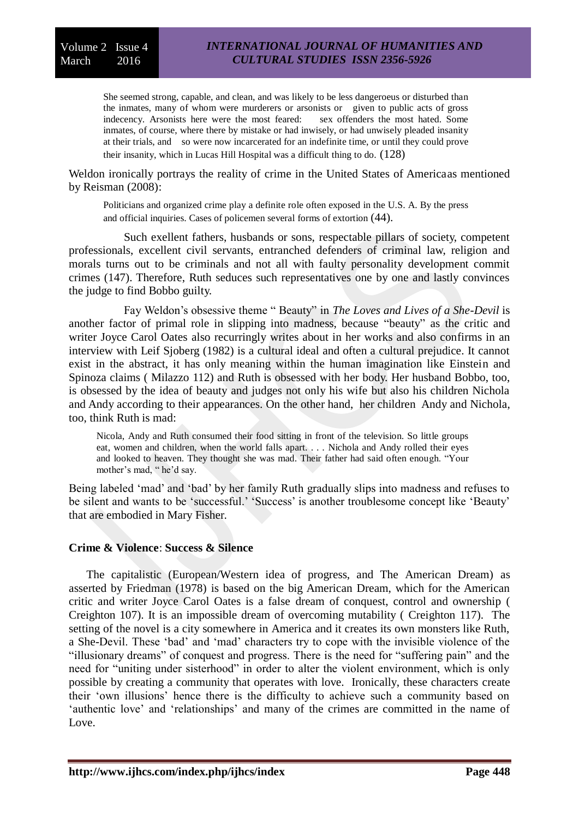She seemed strong, capable, and clean, and was likely to be less dangeroeus or disturbed than the inmates, many of whom were murderers or arsonists or given to public acts of gross indecency. Arsonists here were the most feared: sex offenders the most hated. Some inmates, of course, where there by mistake or had inwisely, or had unwisely pleaded insanity at their trials, and so were now incarcerated for an indefinite time, or until they could prove their insanity, which in Lucas Hill Hospital was a difficult thing to do. (128)

Weldon ironically portrays the reality of crime in the United States of Americaas mentioned by Reisman (2008):

Politicians and organized crime play a definite role often exposed in the U.S. A. By the press and official inquiries. Cases of policemen several forms of extortion (44).

Such exellent fathers, husbands or sons, respectable pillars of society, competent professionals, excellent civil servants, entranched defenders of criminal law, religion and morals turns out to be criminals and not all with faulty personality development commit crimes (147). Therefore, Ruth seduces such representatives one by one and lastly convinces the judge to find Bobbo guilty.

Fay Weldon's obsessive theme " Beauty" in *The Loves and Lives of a She-Devil* is another factor of primal role in slipping into madness, because "beauty" as the critic and writer Joyce Carol Oates also recurringly writes about in her works and also confirms in an interview with Leif Sjoberg (1982) is a cultural ideal and often a cultural prejudice. It cannot exist in the abstract, it has only meaning within the human imagination like Einstein and Spinoza claims ( Milazzo 112) and Ruth is obsessed with her body. Her husband Bobbo, too, is obsessed by the idea of beauty and judges not only his wife but also his children Nichola and Andy according to their appearances. On the other hand, her children Andy and Nichola, too, think Ruth is mad:

Nicola, Andy and Ruth consumed their food sitting in front of the television. So little groups eat, women and children, when the world falls apart. . . . Nichola and Andy rolled their eyes and looked to heaven. They thought she was mad. Their father had said often enough. "Your mother's mad, "he'd say.

Being labeled 'mad' and 'bad' by her family Ruth gradually slips into madness and refuses to be silent and wants to be 'successful.' 'Success' is another troublesome concept like 'Beauty' that are embodied in Mary Fisher.

# **Crime & Violence**: **Success & Silence**

The capitalistic (European/Western idea of progress, and The American Dream) as asserted by Friedman (1978) is based on the big American Dream, which for the American critic and writer Joyce Carol Oates is a false dream of conquest, control and ownership ( Creighton 107). It is an impossible dream of overcoming mutability ( Creighton 117). The setting of the novel is a city somewhere in America and it creates its own monsters like Ruth, a She-Devil. These 'bad' and 'mad' characters try to cope with the invisible violence of the "illusionary dreams" of conquest and progress. There is the need for "suffering pain" and the need for "uniting under sisterhood" in order to alter the violent environment, which is only possible by creating a community that operates with love. Ironically, these characters create their 'own illusions' hence there is the difficulty to achieve such a community based on 'authentic love' and 'relationships' and many of the crimes are committed in the name of Love.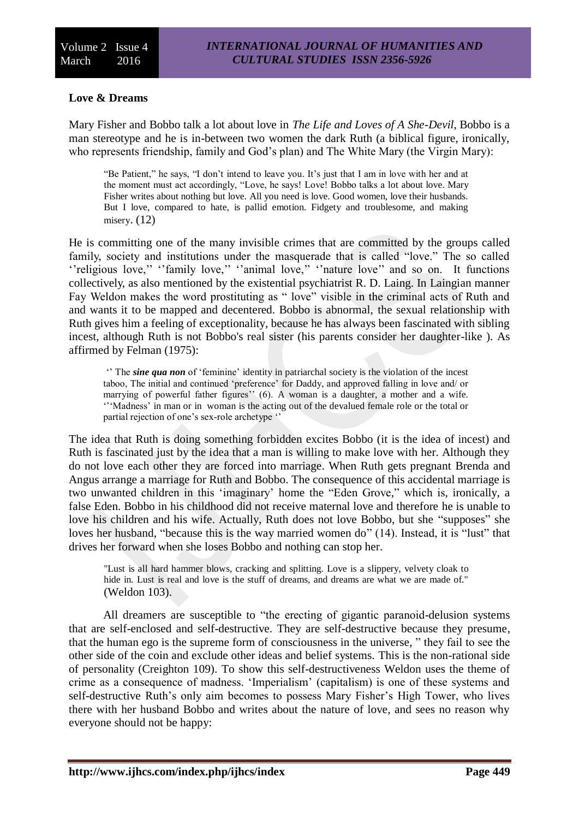# **Love & Dreams**

Mary Fisher and Bobbo talk a lot about love in *The Life and Loves of A She-Devil*, Bobbo is a man stereotype and he is in-between two women the dark Ruth (a biblical figure, ironically, who represents friendship, family and God's plan) and The White Mary (the Virgin Mary):

"Be Patient," he says, "I don't intend to leave you. It's just that I am in love with her and at the moment must act accordingly, "Love, he says! Love! Bobbo talks a lot about love. Mary Fisher writes about nothing but love. All you need is love. Good women, love their husbands. But I love, compared to hate, is pallid emotion. Fidgety and troublesome, and making misery.  $(12)$ 

He is committing one of the many invisible crimes that are committed by the groups called family, society and institutions under the masquerade that is called "love." The so called ''religious love,'' ''family love,'' ''animal love,'' ''nature love'' and so on. It functions collectively, as also mentioned by the existential psychiatrist R. D. Laing. In Laingian manner Fay Weldon makes the word prostituting as "love" visible in the criminal acts of Ruth and and wants it to be mapped and decentered. Bobbo is abnormal, the sexual relationship with Ruth gives him a feeling of exceptionality, because he has always been fascinated with sibling incest, although Ruth is not Bobbo's real sister (his parents consider her daughter-like ). As affirmed by Felman (1975):

'' The *sine qua non* of 'feminine' identity in patriarchal society is the violation of the incest taboo, The initial and continued 'preference' for Daddy, and approved falling in love and/ or marrying of powerful father figures'' (6). A woman is a daughter, a mother and a wife. '''Madness' in man or in woman is the acting out of the devalued female role or the total or partial rejection of one's sex-role archetype ''

The idea that Ruth is doing something forbidden excites Bobbo (it is the idea of incest) and Ruth is fascinated just by the idea that a man is willing to make love with her. Although they do not love each other they are forced into marriage. When Ruth gets pregnant Brenda and Angus arrange a marriage for Ruth and Bobbo. The consequence of this accidental marriage is two unwanted children in this 'imaginary' home the "Eden Grove," which is, ironically, a false Eden. Bobbo in his childhood did not receive maternal love and therefore he is unable to love his children and his wife. Actually, Ruth does not love Bobbo, but she "supposes" she loves her husband, "because this is the way married women do" (14). Instead, it is "lust" that drives her forward when she loses Bobbo and nothing can stop her.

"Lust is all hard hammer blows, cracking and splitting. Love is a slippery, velvety cloak to hide in. Lust is real and love is the stuff of dreams, and dreams are what we are made of." (Weldon 103).

All dreamers are susceptible to "the erecting of gigantic paranoid-delusion systems that are self-enclosed and self-destructive. They are self-destructive because they presume, that the human ego is the supreme form of consciousness in the universe, " they fail to see the other side of the coin and exclude other ideas and belief systems. This is the non-rational side of personality (Creighton 109). To show this self-destructiveness Weldon uses the theme of crime as a consequence of madness. 'Imperialism' (capitalism) is one of these systems and self-destructive Ruth's only aim becomes to possess Mary Fisher's High Tower, who lives there with her husband Bobbo and writes about the nature of love, and sees no reason why everyone should not be happy: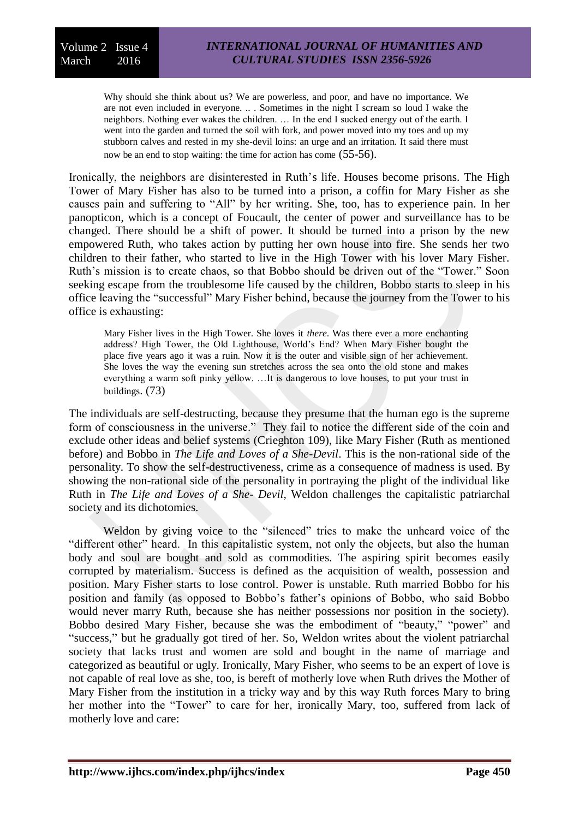Why should she think about us? We are powerless, and poor, and have no importance. We are not even included in everyone. .. . Sometimes in the night I scream so loud I wake the neighbors. Nothing ever wakes the children. … In the end I sucked energy out of the earth. I went into the garden and turned the soil with fork, and power moved into my toes and up my stubborn calves and rested in my she-devil loins: an urge and an irritation. It said there must now be an end to stop waiting: the time for action has come  $(55-56)$ .

Ironically, the neighbors are disinterested in Ruth's life. Houses become prisons. The High Tower of Mary Fisher has also to be turned into a prison, a coffin for Mary Fisher as she causes pain and suffering to "All" by her writing. She, too, has to experience pain. In her panopticon, which is a concept of Foucault, the center of power and surveillance has to be changed. There should be a shift of power. It should be turned into a prison by the new empowered Ruth, who takes action by putting her own house into fire. She sends her two children to their father, who started to live in the High Tower with his lover Mary Fisher. Ruth's mission is to create chaos, so that Bobbo should be driven out of the "Tower." Soon seeking escape from the troublesome life caused by the children, Bobbo starts to sleep in his office leaving the "successful" Mary Fisher behind, because the journey from the Tower to his office is exhausting:

Mary Fisher lives in the High Tower. She loves it *there*. Was there ever a more enchanting address? High Tower, the Old Lighthouse, World's End? When Mary Fisher bought the place five years ago it was a ruin. Now it is the outer and visible sign of her achievement. She loves the way the evening sun stretches across the sea onto the old stone and makes everything a warm soft pinky yellow. …It is dangerous to love houses, to put your trust in buildings. (73)

The individuals are self-destructing, because they presume that the human ego is the supreme form of consciousness in the universe." They fail to notice the different side of the coin and exclude other ideas and belief systems (Crieghton 109), like Mary Fisher (Ruth as mentioned before) and Bobbo in *The Life and Loves of a She-Devil*. This is the non-rational side of the personality. To show the self-destructiveness, crime as a consequence of madness is used. By showing the non-rational side of the personality in portraying the plight of the individual like Ruth in *The Life and Loves of a She- Devil,* Weldon challenges the capitalistic patriarchal society and its dichotomies.

Weldon by giving voice to the "silenced" tries to make the unheard voice of the "different other" heard. In this capitalistic system, not only the objects, but also the human body and soul are bought and sold as commodities. The aspiring spirit becomes easily corrupted by materialism. Success is defined as the acquisition of wealth, possession and position. Mary Fisher starts to lose control. Power is unstable. Ruth married Bobbo for his position and family (as opposed to Bobbo's father's opinions of Bobbo, who said Bobbo would never marry Ruth, because she has neither possessions nor position in the society). Bobbo desired Mary Fisher, because she was the embodiment of "beauty," "power" and "success," but he gradually got tired of her. So, Weldon writes about the violent patriarchal society that lacks trust and women are sold and bought in the name of marriage and categorized as beautiful or ugly. Ironically, Mary Fisher, who seems to be an expert of love is not capable of real love as she, too, is bereft of motherly love when Ruth drives the Mother of Mary Fisher from the institution in a tricky way and by this way Ruth forces Mary to bring her mother into the "Tower" to care for her, ironically Mary, too, suffered from lack of motherly love and care: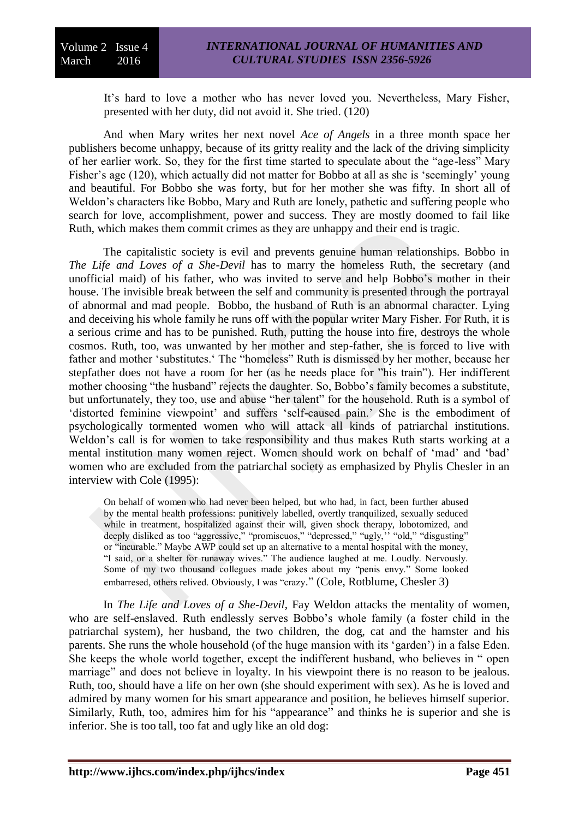It's hard to love a mother who has never loved you. Nevertheless, Mary Fisher, presented with her duty, did not avoid it. She tried. (120)

And when Mary writes her next novel *Ace of Angels* in a three month space her publishers become unhappy, because of its gritty reality and the lack of the driving simplicity of her earlier work. So, they for the first time started to speculate about the "age-less" Mary Fisher's age (120), which actually did not matter for Bobbo at all as she is 'seemingly' young and beautiful. For Bobbo she was forty, but for her mother she was fifty. In short all of Weldon's characters like Bobbo, Mary and Ruth are lonely, pathetic and suffering people who search for love, accomplishment, power and success. They are mostly doomed to fail like Ruth, which makes them commit crimes as they are unhappy and their end is tragic.

The capitalistic society is evil and prevents genuine human relationships. Bobbo in *The Life and Loves of a She-Devil* has to marry the homeless Ruth, the secretary (and unofficial maid) of his father, who was invited to serve and help Bobbo's mother in their house. The invisible break between the self and community is presented through the portrayal of abnormal and mad people. Bobbo, the husband of Ruth is an abnormal character. Lying and deceiving his whole family he runs off with the popular writer Mary Fisher. For Ruth, it is a serious crime and has to be punished. Ruth, putting the house into fire, destroys the whole cosmos. Ruth, too, was unwanted by her mother and step-father, she is forced to live with father and mother 'substitutes.' The "homeless" Ruth is dismissed by her mother, because her stepfather does not have a room for her (as he needs place for "his train"). Her indifferent mother choosing "the husband" rejects the daughter. So, Bobbo's family becomes a substitute, but unfortunately, they too, use and abuse "her talent" for the household. Ruth is a symbol of 'distorted feminine viewpoint' and suffers 'self-caused pain.' She is the embodiment of psychologically tormented women who will attack all kinds of patriarchal institutions. Weldon's call is for women to take responsibility and thus makes Ruth starts working at a mental institution many women reject. Women should work on behalf of 'mad' and 'bad' women who are excluded from the patriarchal society as emphasized by Phylis Chesler in an interview with Cole (1995):

On behalf of women who had never been helped, but who had, in fact, been further abused by the mental health professions: punitively labelled, overtly tranquilized, sexually seduced while in treatment, hospitalized against their will, given shock therapy, lobotomized, and deeply disliked as too "aggressive," "promiscuos," "depressed," "ugly," "old," "disgusting" or "incurable." Maybe AWP could set up an alternative to a mental hospital with the money, "I said, or a shelter for runaway wives." The audience laughed at me. Loudly. Nervously. Some of my two thousand collegues made jokes about my "penis envy." Some looked embarresed, others relived. Obviously, I was "crazy." (Cole, Rotblume, Chesler 3)

In *The Life and Loves of a She-Devil*, Fay Weldon attacks the mentality of women, who are self-enslaved. Ruth endlessly serves Bobbo's whole family (a foster child in the patriarchal system), her husband, the two children, the dog, cat and the hamster and his parents. She runs the whole household (of the huge mansion with its 'garden') in a false Eden. She keeps the whole world together, except the indifferent husband, who believes in " open marriage" and does not believe in loyalty. In his viewpoint there is no reason to be jealous. Ruth, too, should have a life on her own (she should experiment with sex). As he is loved and admired by many women for his smart appearance and position, he believes himself superior. Similarly, Ruth, too, admires him for his "appearance" and thinks he is superior and she is inferior. She is too tall, too fat and ugly like an old dog: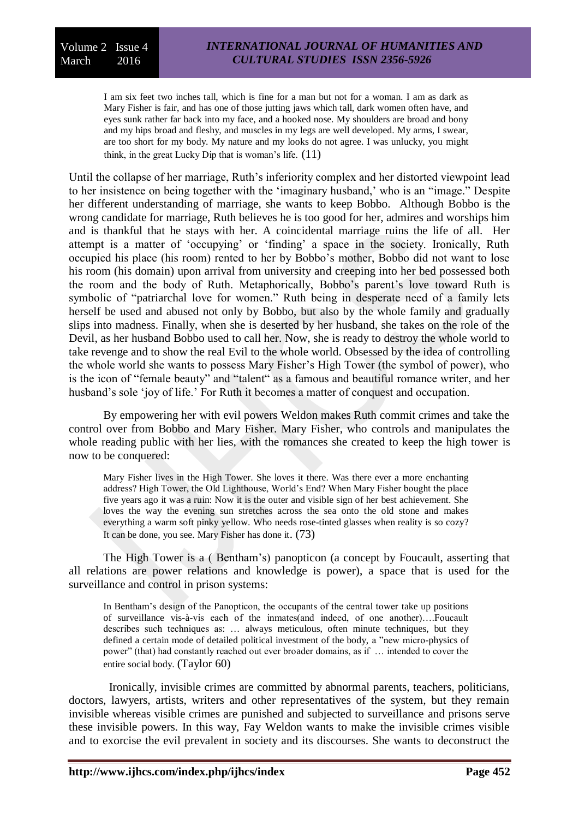I am six feet two inches tall, which is fine for a man but not for a woman. I am as dark as Mary Fisher is fair, and has one of those jutting jaws which tall, dark women often have, and eyes sunk rather far back into my face, and a hooked nose. My shoulders are broad and bony and my hips broad and fleshy, and muscles in my legs are well developed. My arms, I swear, are too short for my body. My nature and my looks do not agree. I was unlucky, you might think, in the great Lucky Dip that is woman's life.  $(11)$ 

Until the collapse of her marriage, Ruth's inferiority complex and her distorted viewpoint lead to her insistence on being together with the 'imaginary husband,' who is an "image." Despite her different understanding of marriage, she wants to keep Bobbo. Although Bobbo is the wrong candidate for marriage, Ruth believes he is too good for her, admires and worships him and is thankful that he stays with her. A coincidental marriage ruins the life of all. Her attempt is a matter of 'occupying' or 'finding' a space in the society. Ironically, Ruth occupied his place (his room) rented to her by Bobbo's mother, Bobbo did not want to lose his room (his domain) upon arrival from university and creeping into her bed possessed both the room and the body of Ruth. Metaphorically, Bobbo's parent's love toward Ruth is symbolic of "patriarchal love for women." Ruth being in desperate need of a family lets herself be used and abused not only by Bobbo, but also by the whole family and gradually slips into madness. Finally, when she is deserted by her husband, she takes on the role of the Devil, as her husband Bobbo used to call her. Now, she is ready to destroy the whole world to take revenge and to show the real Evil to the whole world. Obsessed by the idea of controlling the whole world she wants to possess Mary Fisher's High Tower (the symbol of power), who is the icon of "female beauty" and "talent" as a famous and beautiful romance writer, and her husband's sole 'joy of life.' For Ruth it becomes a matter of conquest and occupation.

By empowering her with evil powers Weldon makes Ruth commit crimes and take the control over from Bobbo and Mary Fisher. Mary Fisher, who controls and manipulates the whole reading public with her lies, with the romances she created to keep the high tower is now to be conquered:

Mary Fisher lives in the High Tower. She loves it there. Was there ever a more enchanting address? High Tower, the Old Lighthouse, World's End? When Mary Fisher bought the place five years ago it was a ruin: Now it is the outer and visible sign of her best achievement. She loves the way the evening sun stretches across the sea onto the old stone and makes everything a warm soft pinky yellow. Who needs rose-tinted glasses when reality is so cozy? It can be done, you see. Mary Fisher has done it. (73)

The High Tower is a ( Bentham's) panopticon (a concept by Foucault, asserting that all relations are power relations and knowledge is power), a space that is used for the surveillance and control in prison systems:

In Bentham's design of the Panopticon, the occupants of the central tower take up positions of surveillance vis-à-vis each of the inmates(and indeed, of one another)….Foucault describes such techniques as: … always meticulous, often minute techniques, but they defined a certain mode of detailed political investment of the body, a "new micro-physics of power" (that) had constantly reached out ever broader domains, as if … intended to cover the entire social body. (Taylor 60)

 Ironically, invisible crimes are committed by abnormal parents, teachers, politicians, doctors, lawyers, artists, writers and other representatives of the system, but they remain invisible whereas visible crimes are punished and subjected to surveillance and prisons serve these invisible powers. In this way, Fay Weldon wants to make the invisible crimes visible and to exorcise the evil prevalent in society and its discourses. She wants to deconstruct the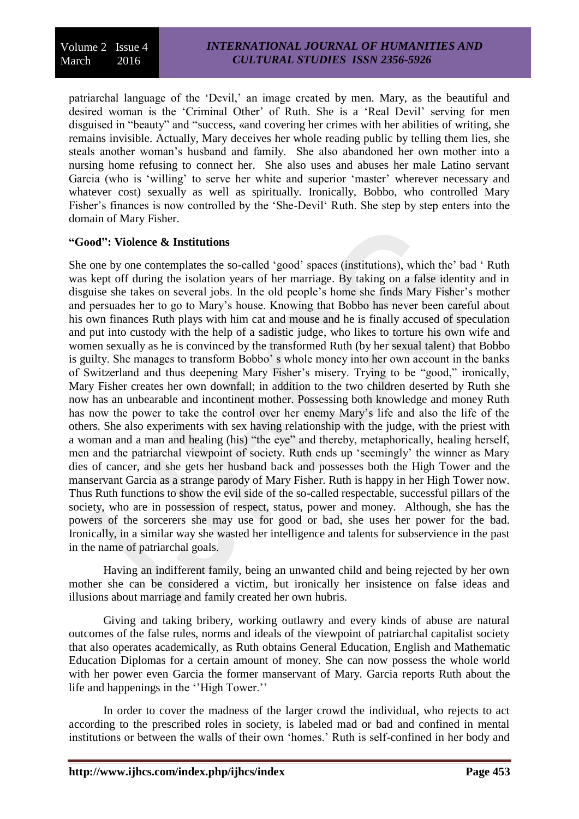patriarchal language of the 'Devil,' an image created by men. Mary, as the beautiful and desired woman is the 'Criminal Other' of Ruth. She is a 'Real Devil' serving for men disguised in "beauty" and "success, «and covering her crimes with her abilities of writing, she remains invisible. Actually, Mary deceives her whole reading public by telling them lies, she steals another woman's husband and family. She also abandoned her own mother into a nursing home refusing to connect her. She also uses and abuses her male Latino servant Garcia (who is 'willing' to serve her white and superior 'master' wherever necessary and whatever cost) sexually as well as spiritually. Ironically, Bobbo, who controlled Mary Fisher's finances is now controlled by the 'She-Devil' Ruth. She step by step enters into the domain of Mary Fisher.

# **"Good": Violence & Institutions**

She one by one contemplates the so-called 'good' spaces (institutions), which the' bad ' Ruth was kept off during the isolation years of her marriage. By taking on a false identity and in disguise she takes on several jobs. In the old people's home she finds Mary Fisher's mother and persuades her to go to Mary's house. Knowing that Bobbo has never been careful about his own finances Ruth plays with him cat and mouse and he is finally accused of speculation and put into custody with the help of a sadistic judge, who likes to torture his own wife and women sexually as he is convinced by the transformed Ruth (by her sexual talent) that Bobbo is guilty. She manages to transform Bobbo' s whole money into her own account in the banks of Switzerland and thus deepening Mary Fisher's misery. Trying to be "good," ironically, Mary Fisher creates her own downfall; in addition to the two children deserted by Ruth she now has an unbearable and incontinent mother. Possessing both knowledge and money Ruth has now the power to take the control over her enemy Mary's life and also the life of the others. She also experiments with sex having relationship with the judge, with the priest with a woman and a man and healing (his) "the eye" and thereby, metaphorically, healing herself, men and the patriarchal viewpoint of society. Ruth ends up 'seemingly' the winner as Mary dies of cancer, and she gets her husband back and possesses both the High Tower and the manservant Garcia as a strange parody of Mary Fisher. Ruth is happy in her High Tower now. Thus Ruth functions to show the evil side of the so-called respectable, successful pillars of the society, who are in possession of respect, status, power and money. Although, she has the powers of the sorcerers she may use for good or bad, she uses her power for the bad. Ironically, in a similar way she wasted her intelligence and talents for subservience in the past in the name of patriarchal goals.

Having an indifferent family, being an unwanted child and being rejected by her own mother she can be considered a victim, but ironically her insistence on false ideas and illusions about marriage and family created her own hubris.

Giving and taking bribery, working outlawry and every kinds of abuse are natural outcomes of the false rules, norms and ideals of the viewpoint of patriarchal capitalist society that also operates academically, as Ruth obtains General Education, English and Mathematic Education Diplomas for a certain amount of money. She can now possess the whole world with her power even Garcia the former manservant of Mary. Garcia reports Ruth about the life and happenings in the ''High Tower.''

In order to cover the madness of the larger crowd the individual, who rejects to act according to the prescribed roles in society, is labeled mad or bad and confined in mental institutions or between the walls of their own 'homes.' Ruth is self-confined in her body and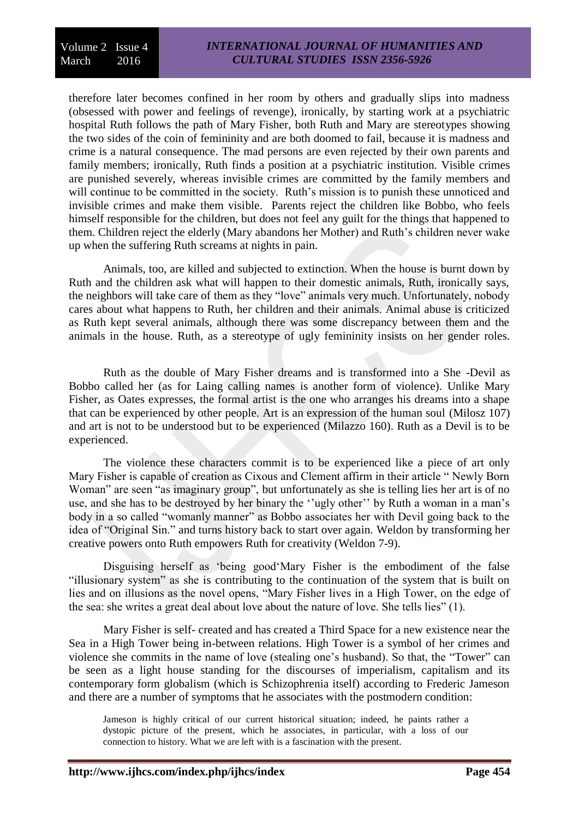therefore later becomes confined in her room by others and gradually slips into madness (obsessed with power and feelings of revenge), ironically, by starting work at a psychiatric hospital Ruth follows the path of Mary Fisher, both Ruth and Mary are stereotypes showing the two sides of the coin of femininity and are both doomed to fail, because it is madness and crime is a natural consequence. The mad persons are even rejected by their own parents and family members; ironically, Ruth finds a position at a psychiatric institution. Visible crimes are punished severely, whereas invisible crimes are committed by the family members and will continue to be committed in the society. Ruth's mission is to punish these unnoticed and invisible crimes and make them visible. Parents reject the children like Bobbo, who feels himself responsible for the children, but does not feel any guilt for the things that happened to them. Children reject the elderly (Mary abandons her Mother) and Ruth's children never wake up when the suffering Ruth screams at nights in pain.

Animals, too, are killed and subjected to extinction. When the house is burnt down by Ruth and the children ask what will happen to their domestic animals, Ruth, ironically says, the neighbors will take care of them as they "love" animals very much. Unfortunately, nobody cares about what happens to Ruth, her children and their animals. Animal abuse is criticized as Ruth kept several animals, although there was some discrepancy between them and the animals in the house. Ruth, as a stereotype of ugly femininity insists on her gender roles.

Ruth as the double of Mary Fisher dreams and is transformed into a She -Devil as Bobbo called her (as for Laing calling names is another form of violence). Unlike Mary Fisher, as Oates expresses, the formal artist is the one who arranges his dreams into a shape that can be experienced by other people. Art is an expression of the human soul (Milosz 107) and art is not to be understood but to be experienced (Milazzo 160). Ruth as a Devil is to be experienced.

The violence these characters commit is to be experienced like a piece of art only Mary Fisher is capable of creation as Cixous and Clement affirm in their article " Newly Born Woman" are seen "as imaginary group", but unfortunately as she is telling lies her art is of no use, and she has to be destroyed by her binary the ''ugly other'' by Ruth a woman in a man's body in a so called "womanly manner" as Bobbo associates her with Devil going back to the idea of "Original Sin." and turns history back to start over again. Weldon by transforming her creative powers onto Ruth empowers Ruth for creativity (Weldon 7-9).

Disguising herself as 'being good'Mary Fisher is the embodiment of the false "illusionary system" as she is contributing to the continuation of the system that is built on lies and on illusions as the novel opens, "Mary Fisher lives in a High Tower, on the edge of the sea: she writes a great deal about love about the nature of love. She tells lies" (1).

Mary Fisher is self- created and has created a Third Space for a new existence near the Sea in a High Tower being in-between relations. High Tower is a symbol of her crimes and violence she commits in the name of love (stealing one's husband). So that, the "Tower" can be seen as a light house standing for the discourses of imperialism, capitalism and its contemporary form globalism (which is Schizophrenia itself) according to Frederic Jameson and there are a number of symptoms that he associates with the postmodern condition:

Jameson is highly critical of our current historical situation; indeed, he paints rather a dystopic picture of the present, which he associates, in particular, with a loss of our connection to history. What we are left with is a fascination with the present.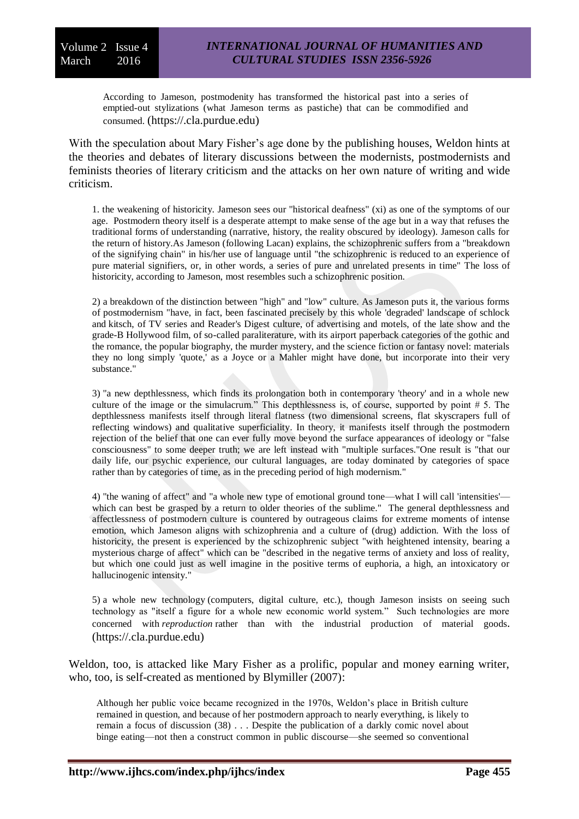According to Jameson, postmodenity has transformed the historical past into a series of emptied-out stylizations (what Jameson terms as pastiche) that can be commodified and consumed. (https://.cla.purdue.edu)

With the speculation about Mary Fisher's age done by the publishing houses, Weldon hints at the theories and debates of literary discussions between the modernists, postmodernists and feminists theories of literary criticism and the attacks on her own nature of writing and wide criticism.

1. the weakening of historicity. Jameson sees our "historical deafness" (xi) as one of the symptoms of our age. Postmodern theory itself is a desperate attempt to make sense of the age but in a way that refuses the traditional forms of understanding (narrative, history, the reality obscured by ideology). Jameson calls for the return of history.As Jameson (following Lacan) explains, the schizophrenic suffers from a "breakdown of the signifying chain" in his/her use of language until "the schizophrenic is reduced to an experience of pure material signifiers, or, in other words, a series of pure and unrelated presents in time" The loss of historicity, according to Jameson, most resembles such a schizophrenic position.

2) a breakdown of the distinction between "high" and "low" culture. As Jameson puts it, the various forms of postmodernism "have, in fact, been fascinated precisely by this whole 'degraded' landscape of schlock and [kitsch,](https://www.cla.purdue.edu/english/theory/postmodernism/terms/kitsch.html) of TV series and Reader's Digest culture, of advertising and motels, of the late show and the grade-B Hollywood film, of so-called paraliterature, with its airport paperback categories of the gothic and the romance, the popular biography, the murder mystery, and the science fiction or fantasy novel: materials they no long simply 'quote,' as a Joyce or a Mahler might have done, but incorporate into their very substance."

3) "a new depthlessness, which finds its prolongation both in contemporary 'theory' and in a whole new culture of the image or the [simulacrum."](https://www.cla.purdue.edu/english/theory/postmodernism/terms/simulacrum.html) This depthlessness is, of course, supported by point # 5. The depthlessness manifests itself through literal flatness (two dimensional screens, flat skyscrapers full of reflecting windows) and qualitative superficiality. In theory, it manifests itself through the postmodern rejection of the belief that one can ever fully move beyond the surface appearances of ideology or "false consciousness" to some deeper truth; we are left instead with "multiple surfaces."One result is "that our daily life, our psychic experience, our cultural languages, are today dominated by categories of space rather than by categories of time, as in the preceding period of high modernism."

4) "the waning of affect" and "a whole new type of emotional ground tone—what I will call 'intensities' which can best be grasped by a return to older theories of the sublime." The general depthlessness and affectlessness of postmodern culture is countered by outrageous claims for extreme moments of intense emotion, which Jameson aligns with schizophrenia and a culture of (drug) addiction. With the loss of historicity, the present is experienced by the schizophrenic subject "with heightened intensity, bearing a mysterious charge of affect" which can be "described in the negative terms of anxiety and loss of reality, but which one could just as well imagine in the positive terms of euphoria, a high, an intoxicatory or hallucinogenic intensity."

5) a whole new technology (computers, digital culture, etc.), though Jameson insists on seeing such technology as "itself a figure for a whole new economic world system." Such technologies are more concerned with *reproduction* rather than with the industrial production of material goods. (https://.cla.purdue.edu)

Weldon, too, is attacked like Mary Fisher as a prolific, popular and money earning writer, who, too, is self-created as mentioned by Blymiller (2007):

Although her public voice became recognized in the 1970s, Weldon's place in British culture remained in question, and because of her postmodern approach to nearly everything, is likely to remain a focus of discussion (38) . . . Despite the publication of a darkly comic novel about binge eating—not then a construct common in public discourse—she seemed so conventional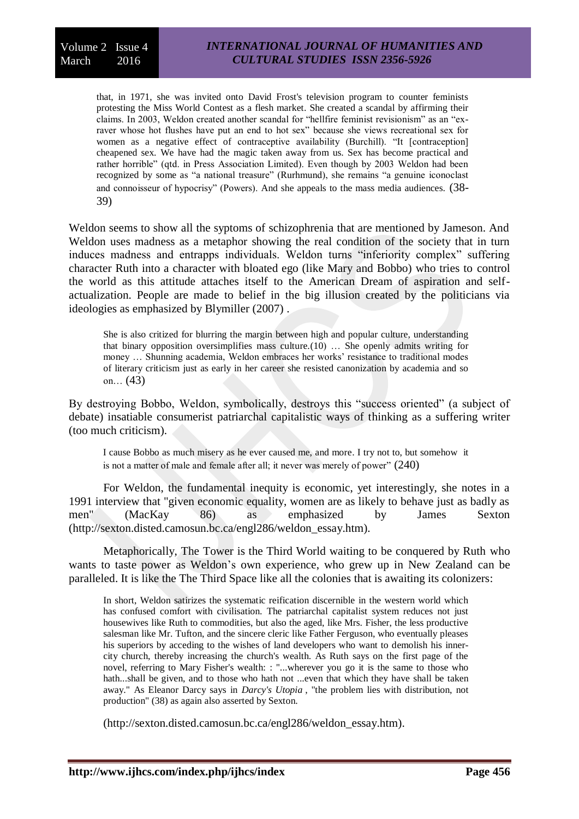that, in 1971, she was invited onto David Frost's television program to counter feminists protesting the Miss World Contest as a flesh market. She created a scandal by affirming their claims. In 2003, Weldon created another scandal for "hellfire feminist revisionism" as an "exraver whose hot flushes have put an end to hot sex" because she views recreational sex for women as a negative effect of contraceptive availability (Burchill). "It [contraception] cheapened sex. We have had the magic taken away from us. Sex has become practical and rather horrible" (qtd. in Press Association Limited). Even though by 2003 Weldon had been recognized by some as "a national treasure" (Rurhmund), she remains "a genuine iconoclast and connoisseur of hypocrisy" (Powers). And she appeals to the mass media audiences. (38- 39)

Weldon seems to show all the syptoms of schizophrenia that are mentioned by Jameson. And Weldon uses madness as a metaphor showing the real condition of the society that in turn induces madness and entrapps individuals. Weldon turns "inferiority complex" suffering character Ruth into a character with bloated ego (like Mary and Bobbo) who tries to control the world as this attitude attaches itself to the American Dream of aspiration and selfactualization. People are made to belief in the big illusion created by the politicians via ideologies as emphasized by Blymiller (2007) .

She is also critized for blurring the margin between high and popular culture, understanding that binary opposition oversimplifies mass culture.(10) … She openly admits writing for money … Shunning academia, Weldon embraces her works' resistance to traditional modes of literary criticism just as early in her career she resisted canonization by academia and so on… (43)

By destroying Bobbo, Weldon, symbolically, destroys this "success oriented" (a subject of debate) insatiable consumerist patriarchal capitalistic ways of thinking as a suffering writer (too much criticism).

I cause Bobbo as much misery as he ever caused me, and more. I try not to, but somehow it is not a matter of male and female after all; it never was merely of power" (240)

For Weldon, the fundamental inequity is economic, yet interestingly, she notes in a 1991 interview that "given economic equality, women are as likely to behave just as badly as men" (MacKay 86) as emphasized by James Sexton (http://sexton.disted.camosun.bc.ca/engl286/weldon\_essay.htm).

Metaphorically, The Tower is the Third World waiting to be conquered by Ruth who wants to taste power as Weldon's own experience, who grew up in New Zealand can be paralleled. It is like the The Third Space like all the colonies that is awaiting its colonizers:

In short, Weldon satirizes the systematic reification discernible in the western world which has confused comfort with civilisation. The patriarchal capitalist system reduces not just housewives like Ruth to commodities, but also the aged, like Mrs. Fisher, the less productive salesman like Mr. Tufton, and the sincere cleric like Father Ferguson, who eventually pleases his superiors by acceding to the wishes of land developers who want to demolish his innercity church, thereby increasing the church's wealth. As Ruth says on the first page of the novel, referring to Mary Fisher's wealth: : "...wherever you go it is the same to those who hath...shall be given, and to those who hath not ...even that which they have shall be taken away." As Eleanor Darcy says in *Darcy's Utopia* , "the problem lies with distribution, not production" (38) as again also asserted by Sexton.

(http://sexton.disted.camosun.bc.ca/engl286/weldon\_essay.htm).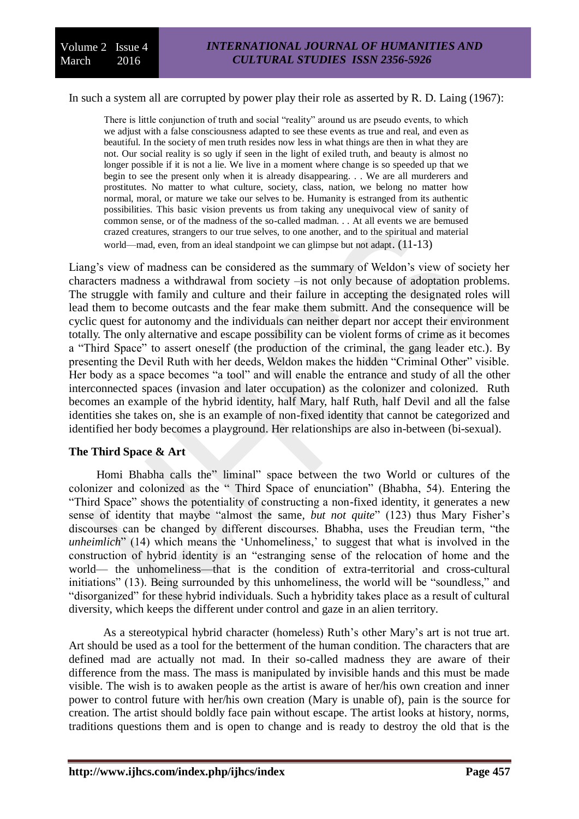#### In such a system all are corrupted by power play their role as asserted by R. D. Laing (1967):

There is little conjunction of truth and social "reality" around us are pseudo events, to which we adjust with a false consciousness adapted to see these events as true and real, and even as beautiful. In the society of men truth resides now less in what things are then in what they are not. Our social reality is so ugly if seen in the light of exiled truth, and beauty is almost no longer possible if it is not a lie. We live in a moment where change is so speeded up that we begin to see the present only when it is already disappearing. . . We are all murderers and prostitutes. No matter to what culture, society, class, nation, we belong no matter how normal, moral, or mature we take our selves to be. Humanity is estranged from its authentic possibilities. This basic vision prevents us from taking any unequivocal view of sanity of common sense, or of the madness of the so-called madman. . . At all events we are bemused crazed creatures, strangers to our true selves, to one another, and to the spiritual and material world—mad, even, from an ideal standpoint we can glimpse but not adapt.  $(11-13)$ 

Liang's view of madness can be considered as the summary of Weldon's view of society her characters madness a withdrawal from society –is not only because of adoptation problems. The struggle with family and culture and their failure in accepting the designated roles will lead them to become outcasts and the fear make them submitt. And the consequence will be cyclic quest for autonomy and the individuals can neither depart nor accept their environment totally. The only alternative and escape possibility can be violent forms of crime as it becomes a "Third Space" to assert oneself (the production of the criminal, the gang leader etc.). By presenting the Devil Ruth with her deeds, Weldon makes the hidden "Criminal Other" visible. Her body as a space becomes "a tool" and will enable the entrance and study of all the other interconnected spaces (invasion and later occupation) as the colonizer and colonized. Ruth becomes an example of the hybrid identity, half Mary, half Ruth, half Devil and all the false identities she takes on, she is an example of non-fixed identity that cannot be categorized and identified her body becomes a playground. Her relationships are also in-between (bi-sexual).

# **The Third Space & Art**

Homi Bhabha calls the" liminal" space between the two World or cultures of the colonizer and colonized as the " Third Space of enunciation" (Bhabha, 54). Entering the "Third Space" shows the potentiality of constructing a non-fixed identity, it generates a new sense of identity that maybe "almost the same, *but not quite*" (123) thus Mary Fisher's discourses can be changed by different discourses. Bhabha, uses the Freudian term, "the *unheimlich*" (14) which means the 'Unhomeliness,' to suggest that what is involved in the construction of hybrid identity is an "estranging sense of the relocation of home and the world— the unhomeliness—that is the condition of extra-territorial and cross-cultural initiations" (13). Being surrounded by this unhomeliness, the world will be "soundless," and "disorganized" for these hybrid individuals. Such a hybridity takes place as a result of cultural diversity, which keeps the different under control and gaze in an alien territory.

As a stereotypical hybrid character (homeless) Ruth's other Mary's art is not true art. Art should be used as a tool for the betterment of the human condition. The characters that are defined mad are actually not mad. In their so-called madness they are aware of their difference from the mass. The mass is manipulated by invisible hands and this must be made visible. The wish is to awaken people as the artist is aware of her/his own creation and inner power to control future with her/his own creation (Mary is unable of), pain is the source for creation. The artist should boldly face pain without escape. The artist looks at history, norms, traditions questions them and is open to change and is ready to destroy the old that is the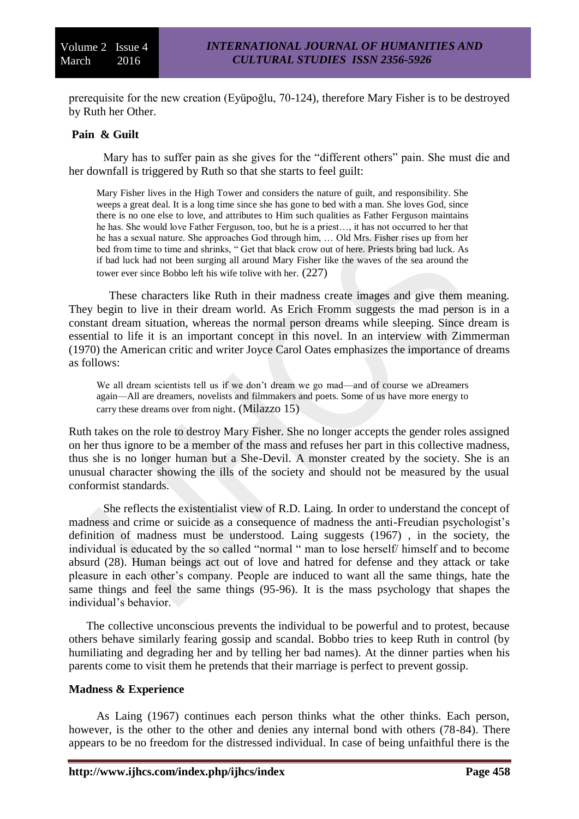prerequisite for the new creation (Eyüpoğlu, 70-124), therefore Mary Fisher is to be destroyed by Ruth her Other.

# **Pain & Guilt**

Mary has to suffer pain as she gives for the "different others" pain. She must die and her downfall is triggered by Ruth so that she starts to feel guilt:

Mary Fisher lives in the High Tower and considers the nature of guilt, and responsibility. She weeps a great deal. It is a long time since she has gone to bed with a man. She loves God, since there is no one else to love, and attributes to Him such qualities as Father Ferguson maintains he has. She would love Father Ferguson, too, but he is a priest…, it has not occurred to her that he has a sexual nature. She approaches God through him, … Old Mrs. Fisher rises up from her bed from time to time and shrinks, " Get that black crow out of here. Priests bring bad luck. As if bad luck had not been surging all around Mary Fisher like the waves of the sea around the tower ever since Bobbo left his wife tolive with her. (227)

These characters like Ruth in their madness create images and give them meaning. They begin to live in their dream world. As Erich Fromm suggests the mad person is in a constant dream situation, whereas the normal person dreams while sleeping. Since dream is essential to life it is an important concept in this novel. In an interview with Zimmerman (1970) the American critic and writer Joyce Carol Oates emphasizes the importance of dreams as follows:

We all dream scientists tell us if we don't dream we go mad—and of course we aDreamers again—All are dreamers, novelists and filmmakers and poets. Some of us have more energy to carry these dreams over from night. (Milazzo 15)

Ruth takes on the role to destroy Mary Fisher. She no longer accepts the gender roles assigned on her thus ignore to be a member of the mass and refuses her part in this collective madness, thus she is no longer human but a She-Devil. A monster created by the society. She is an unusual character showing the ills of the society and should not be measured by the usual conformist standards.

She reflects the existentialist view of R.D. Laing. In order to understand the concept of madness and crime or suicide as a consequence of madness the anti-Freudian psychologist's definition of madness must be understood. Laing suggests (1967) , in the society, the individual is educated by the so called "normal " man to lose herself/ himself and to become absurd (28). Human beings act out of love and hatred for defense and they attack or take pleasure in each other's company. People are induced to want all the same things, hate the same things and feel the same things (95-96). It is the mass psychology that shapes the individual's behavior.

The collective unconscious prevents the individual to be powerful and to protest, because others behave similarly fearing gossip and scandal. Bobbo tries to keep Ruth in control (by humiliating and degrading her and by telling her bad names). At the dinner parties when his parents come to visit them he pretends that their marriage is perfect to prevent gossip.

# **Madness & Experience**

As Laing (1967) continues each person thinks what the other thinks. Each person, however, is the other to the other and denies any internal bond with others (78-84). There appears to be no freedom for the distressed individual. In case of being unfaithful there is the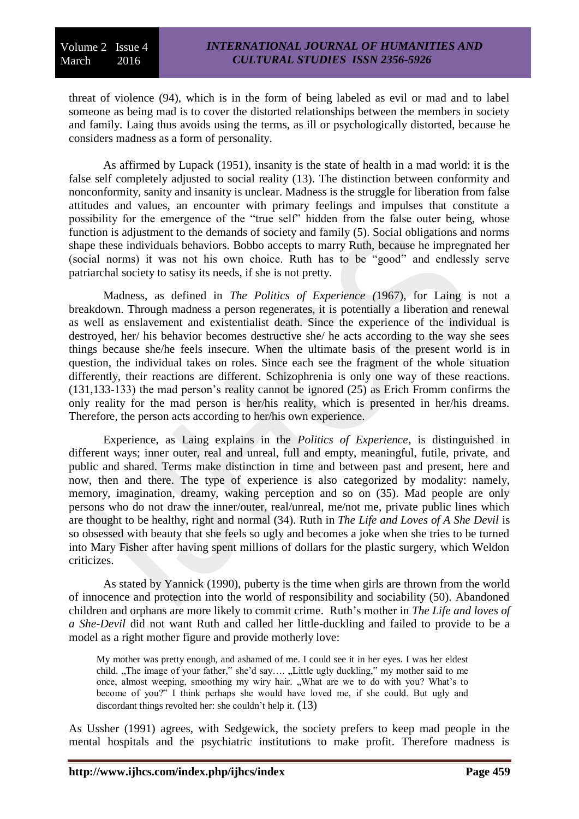threat of violence (94), which is in the form of being labeled as evil or mad and to label someone as being mad is to cover the distorted relationships between the members in society and family. Laing thus avoids using the terms, as ill or psychologically distorted, because he considers madness as a form of personality.

As affirmed by Lupack (1951), insanity is the state of health in a mad world: it is the false self completely adjusted to social reality (13). The distinction between conformity and nonconformity, sanity and insanity is unclear. Madness is the struggle for liberation from false attitudes and values, an encounter with primary feelings and impulses that constitute a possibility for the emergence of the "true self" hidden from the false outer being, whose function is adjustment to the demands of society and family (5). Social obligations and norms shape these individuals behaviors. Bobbo accepts to marry Ruth, because he impregnated her (social norms) it was not his own choice. Ruth has to be "good" and endlessly serve patriarchal society to satisy its needs, if she is not pretty.

Madness, as defined in *The Politics of Experience (*1967), for Laing is not a breakdown. Through madness a person regenerates, it is potentially a liberation and renewal as well as enslavement and existentialist death. Since the experience of the individual is destroyed, her/ his behavior becomes destructive she/ he acts according to the way she sees things because she/he feels insecure. When the ultimate basis of the present world is in question, the individual takes on roles. Since each see the fragment of the whole situation differently, their reactions are different. Schizophrenia is only one way of these reactions. (131,133-133) the mad person's reality cannot be ignored (25) as Erich Fromm confirms the only reality for the mad person is her/his reality, which is presented in her/his dreams. Therefore, the person acts according to her/his own experience.

Experience, as Laing explains in the *Politics of Experience*, is distinguished in different ways; inner outer, real and unreal, full and empty, meaningful, futile, private, and public and shared. Terms make distinction in time and between past and present, here and now, then and there. The type of experience is also categorized by modality: namely, memory, imagination, dreamy, waking perception and so on (35). Mad people are only persons who do not draw the inner/outer, real/unreal, me/not me, private public lines which are thought to be healthy, right and normal (34). Ruth in *The Life and Loves of A She Devil* is so obsessed with beauty that she feels so ugly and becomes a joke when she tries to be turned into Mary Fisher after having spent millions of dollars for the plastic surgery, which Weldon criticizes.

As stated by Yannick (1990), puberty is the time when girls are thrown from the world of innocence and protection into the world of responsibility and sociability (50). Abandoned children and orphans are more likely to commit crime. Ruth's mother in *The Life and loves of a She-Devil* did not want Ruth and called her little-duckling and failed to provide to be a model as a right mother figure and provide motherly love:

My mother was pretty enough, and ashamed of me. I could see it in her eyes. I was her eldest child. "The image of your father," she'd say.... "Little ugly duckling," my mother said to me once, almost weeping, smoothing my wiry hair. "What are we to do with you? What's to become of you?" I think perhaps she would have loved me, if she could. But ugly and discordant things revolted her: she couldn't help it. (13)

As Ussher (1991) agrees, with Sedgewick, the society prefers to keep mad people in the mental hospitals and the psychiatric institutions to make profit. Therefore madness is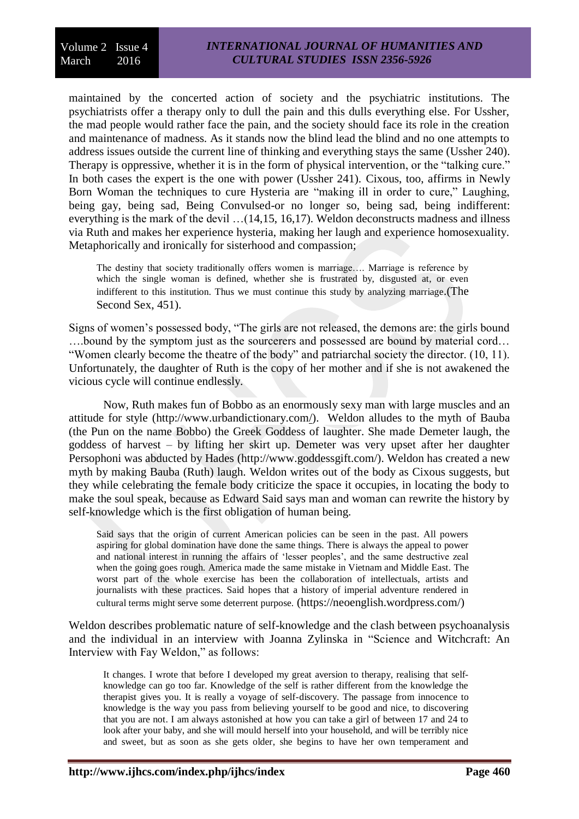maintained by the concerted action of society and the psychiatric institutions. The psychiatrists offer a therapy only to dull the pain and this dulls everything else. For Ussher, the mad people would rather face the pain, and the society should face its role in the creation and maintenance of madness. As it stands now the blind lead the blind and no one attempts to address issues outside the current line of thinking and everything stays the same (Ussher 240). Therapy is oppressive, whether it is in the form of physical intervention, or the "talking cure." In both cases the expert is the one with power (Ussher 241). Cixous, too, affirms in Newly Born Woman the techniques to cure Hysteria are "making ill in order to cure," Laughing, being gay, being sad, Being Convulsed-or no longer so, being sad, being indifferent: everything is the mark of the devil …(14,15, 16,17). Weldon deconstructs madness and illness via Ruth and makes her experience hysteria, making her laugh and experience homosexuality. Metaphorically and ironically for sisterhood and compassion;

The destiny that society traditionally offers women is marriage…. Marriage is reference by which the single woman is defined, whether she is frustrated by, disgusted at, or even indifferent to this institution. Thus we must continue this study by analyzing marriage.(The Second Sex, 451).

Signs of women's possessed body, "The girls are not released, the demons are: the girls bound ….bound by the symptom just as the sourcerers and possessed are bound by material cord… "Women clearly become the theatre of the body" and patriarchal society the director. (10, 11). Unfortunately, the daughter of Ruth is the copy of her mother and if she is not awakened the vicious cycle will continue endlessly.

Now, Ruth makes fun of Bobbo as an enormously sexy man with large muscles and an attitude for style [\(http://www.urbandictionary.com/\)](http://www.urbandictionary.com/). Weldon alludes to the myth of Bauba (the Pun on the name Bobbo) the Greek Goddess of laughter. She made Demeter laugh, the goddess of harvest – by lifting her skirt up. Demeter was very upset after her daughter Persophoni was abducted by Hades (http://www.goddessgift.com/). Weldon has created a new myth by making Bauba (Ruth) laugh. Weldon writes out of the body as Cixous suggests, but they while celebrating the female body criticize the space it occupies, in locating the body to make the soul speak, because as Edward Said says man and woman can rewrite the history by self-knowledge which is the first obligation of human being.

Said says that the origin of current American policies can be seen in the past. All powers aspiring for global domination have done the same things. There is always the appeal to power and national interest in running the affairs of 'lesser peoples', and the same destructive zeal when the going goes rough. America made the same mistake in Vietnam and Middle East. The worst part of the whole exercise has been the collaboration of intellectuals, artists and journalists with these practices. Said hopes that a history of imperial adventure rendered in cultural terms might serve some deterrent purpose. (https://neoenglish.wordpress.com/)

Weldon describes problematic nature of self-knowledge and the clash between psychoanalysis and the individual in an interview with Joanna Zylinska in "Science and Witchcraft: An Interview with Fay Weldon," as follows:

It changes. I wrote that before I developed my great aversion to therapy, realising that selfknowledge can go too far. Knowledge of the self is rather different from the knowledge the therapist gives you. It is really a voyage of self-discovery. The passage from innocence to knowledge is the way you pass from believing yourself to be good and nice, to discovering that you are not. I am always astonished at how you can take a girl of between 17 and 24 to look after your baby, and she will mould herself into your household, and will be terribly nice and sweet, but as soon as she gets older, she begins to have her own temperament and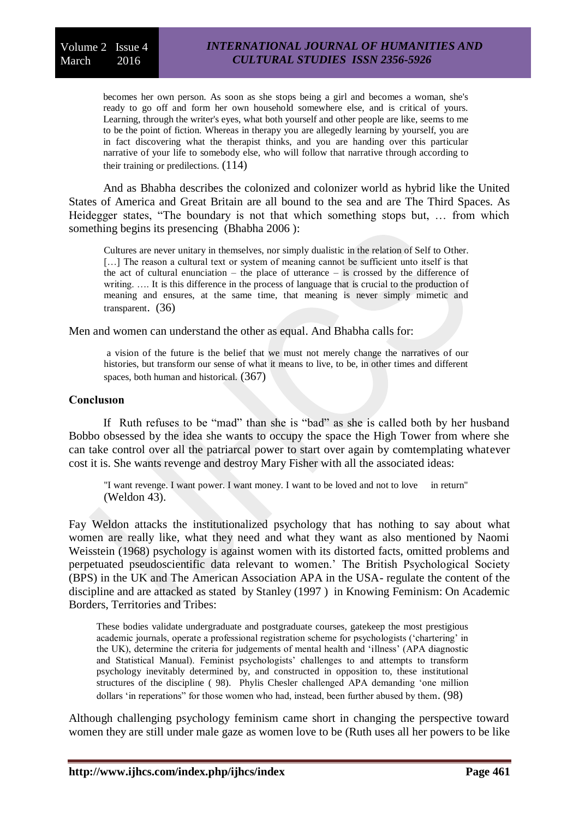becomes her own person. As soon as she stops being a girl and becomes a woman, she's ready to go off and form her own household somewhere else, and is critical of yours. Learning, through the writer's eyes, what both yourself and other people are like, seems to me to be the point of fiction. Whereas in therapy you are allegedly learning by yourself, you are in fact discovering what the therapist thinks, and you are handing over this particular narrative of your life to somebody else, who will follow that narrative through according to their training or predilections. (114)

And as Bhabha describes the colonized and colonizer world as hybrid like the United States of America and Great Britain are all bound to the sea and are The Third Spaces. As Heidegger states, "The boundary is not that which something stops but, … from which something begins its presencing (Bhabha 2006 ):

Cultures are never unitary in themselves, nor simply dualistic in the relation of Self to Other. [...] The reason a cultural text or system of meaning cannot be sufficient unto itself is that the act of cultural enunciation – the place of utterance – is crossed by the difference of writing. .... It is this difference in the process of language that is crucial to the production of meaning and ensures, at the same time, that meaning is never simply mimetic and transparent. (36)

Men and women can understand the other as equal. And Bhabha calls for:

a vision of the future is the belief that we must not merely change the narratives of our histories, but transform our sense of what it means to live, to be, in other times and different spaces, both human and historical. (367)

# **Conclusıon**

If Ruth refuses to be "mad" than she is "bad" as she is called both by her husband Bobbo obsessed by the idea she wants to occupy the space the High Tower from where she can take control over all the patriarcal power to start over again by comtemplating whatever cost it is. She wants revenge and destroy Mary Fisher with all the associated ideas:

"I want revenge. I want power. I want money. I want to be loved and not to love in return" (Weldon 43).

Fay Weldon attacks the institutionalized psychology that has nothing to say about what women are really like, what they need and what they want as also mentioned by Naomi Weisstein (1968) psychology is against women with its distorted facts, omitted problems and perpetuated pseudoscientific data relevant to women.' The British Psychological Society (BPS) in the UK and The American Association APA in the USA- regulate the content of the discipline and are attacked as stated by Stanley (1997 ) in Knowing Feminism: On Academic Borders, Territories and Tribes:

These bodies validate undergraduate and postgraduate courses, gatekeep the most prestigious academic journals, operate a professional registration scheme for psychologists ('chartering' in the UK), determine the criteria for judgements of mental health and 'illness' (APA diagnostic and Statistical Manual). Feminist psychologists' challenges to and attempts to transform psychology inevitably determined by, and constructed in opposition to, these institutional structures of the discipline ( 98). Phylis Chesler challenged APA demanding 'one million dollars 'in reperations" for those women who had, instead, been further abused by them. (98)

Although challenging psychology feminism came short in changing the perspective toward women they are still under male gaze as women love to be (Ruth uses all her powers to be like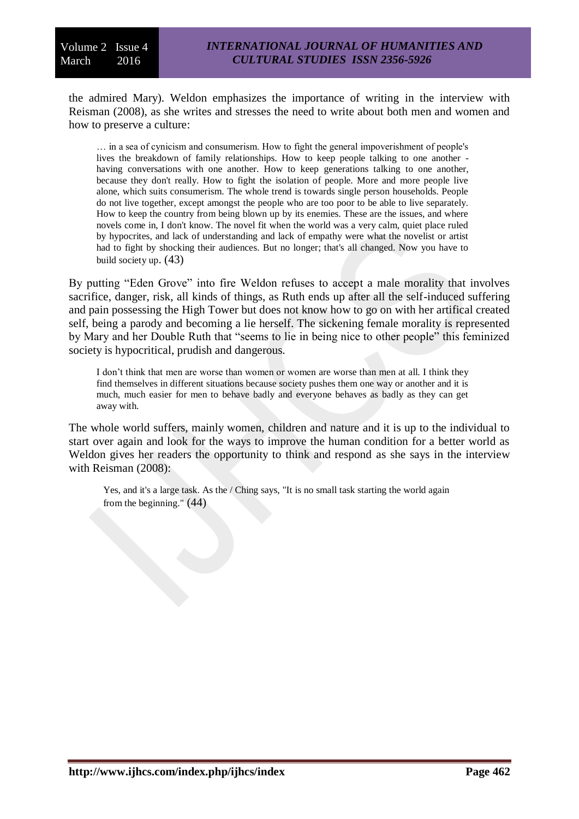the admired Mary). Weldon emphasizes the importance of writing in the interview with Reisman (2008), as she writes and stresses the need to write about both men and women and how to preserve a culture:

… in a sea of cynicism and consumerism. How to fight the general impoverishment of people's lives the breakdown of family relationships. How to keep people talking to one another having conversations with one another. How to keep generations talking to one another, because they don't really. How to fight the isolation of people. More and more people live alone, which suits consumerism. The whole trend is towards single person households. People do not live together, except amongst the people who are too poor to be able to live separately. How to keep the country from being blown up by its enemies. These are the issues, and where novels come in, I don't know. The novel fit when the world was a very calm, quiet place ruled by hypocrites, and lack of understanding and lack of empathy were what the novelist or artist had to fight by shocking their audiences. But no longer; that's all changed. Now you have to build society up. (43)

By putting "Eden Grove" into fire Weldon refuses to accept a male morality that involves sacrifice, danger, risk, all kinds of things, as Ruth ends up after all the self-induced suffering and pain possessing the High Tower but does not know how to go on with her artifical created self, being a parody and becoming a lie herself. The sickening female morality is represented by Mary and her Double Ruth that "seems to lie in being nice to other people" this feminized society is hypocritical, prudish and dangerous.

I don't think that men are worse than women or women are worse than men at all. I think they find themselves in different situations because society pushes them one way or another and it is much, much easier for men to behave badly and everyone behaves as badly as they can get away with.

The whole world suffers, mainly women, children and nature and it is up to the individual to start over again and look for the ways to improve the human condition for a better world as Weldon gives her readers the opportunity to think and respond as she says in the interview with Reisman (2008):

Yes, and it's a large task. As the / Ching says, "It is no small task starting the world again from the beginning."  $(44)$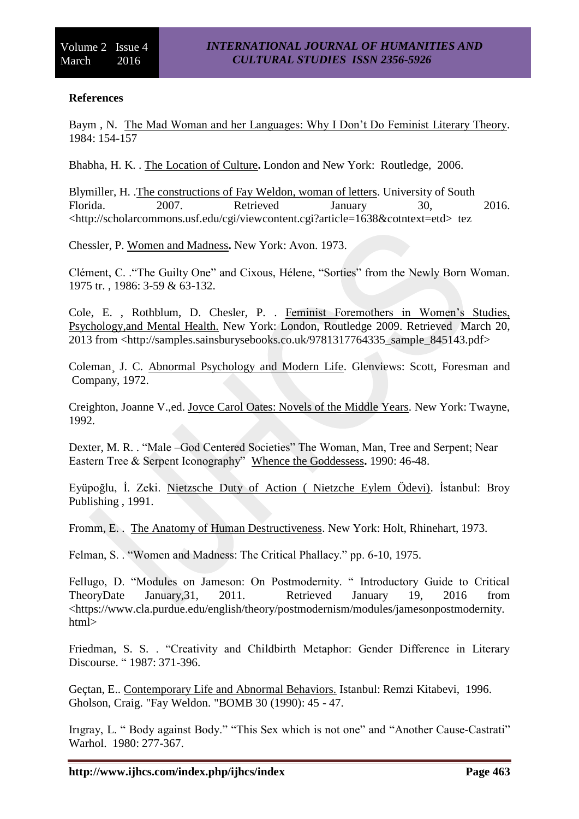# **References**

Baym , N. The Mad Woman and her Languages: Why I Don't Do Feminist Literary Theory. 1984: 154-157

Bhabha, H. K. . The Location of Culture**.** London and New York: Routledge, 2006.

Blymiller, H. .The constructions of Fay Weldon, woman of letters. University of South Florida. 2007. Retrieved January 30, 2016. <http://scholarcommons.usf.edu/cgi/viewcontent.cgi?article=1638&cotntext=etd> tez

Chessler, P. Women and Madness**.** New York: Avon. 1973.

Clément, C. ."The Guilty One" and Cixous, Hélene, "Sorties" from the Newly Born Woman. 1975 tr. , 1986: 3-59 & 63-132.

Cole, E. , Rothblum, D. Chesler, P. . Feminist Foremothers in Women's Studies, Psychology,and Mental Health. New York: London, Routledge 2009. Retrieved March 20, 2013 from <http://samples.sainsburysebooks.co.uk/9781317764335\_sample\_845143.pdf>

Coleman¸ J. C. Abnormal Psychology and Modern Life. Glenviews: Scott, Foresman and Company, 1972.

Creighton, Joanne V.,ed. Joyce Carol Oates: Novels of the Middle Years. New York: Twayne, 1992.

Dexter, M. R. . "Male –God Centered Societies" The Woman, Man, Tree and Serpent; Near Eastern Tree & Serpent Iconography" Whence the Goddessess**.** 1990: 46-48.

Eyüpoğlu, İ. Zeki. Nietzsche Duty of Action ( Nietzche Eylem Ödevi). İstanbul: Broy Publishing , 1991.

Fromm, E. . The Anatomy of Human Destructiveness. New York: Holt, Rhinehart, 1973.

Felman, S. . "Women and Madness: The Critical Phallacy." pp. 6-10, 1975.

Fellugo, D. "Modules on Jameson: On Postmodernity. " Introductory Guide to Critical TheoryDate January,31, 2011. Retrieved January 19, 2016 from <https://www.cla.purdue.edu/english/theory/postmodernism/modules/jamesonpostmodernity. html>

Friedman, S. S. . "Creativity and Childbirth Metaphor: Gender Difference in Literary Discourse. " 1987: 371-396.

Geçtan, E.. Contemporary Life and Abnormal Behaviors. Istanbul: Remzi Kitabevi, 1996. Gholson, Craig. "Fay Weldon. "BOMB 30 (1990): 45 - 47.

Irıgray, L. " Body against Body." "This Sex which is not one" and "Another Cause-Castrati" Warhol. 1980: 277-367.